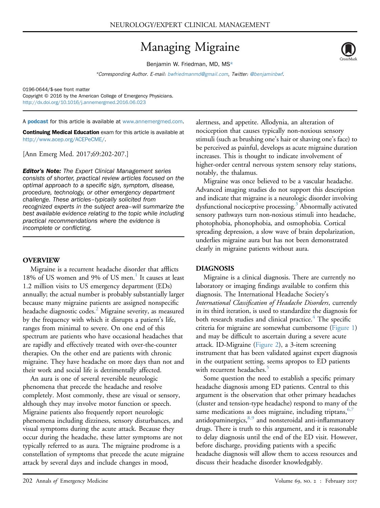# Managing Migraine

Benjamin W. Friedman, MD, MS\*

\*Corresponding Author. E-mail: [bwfriedmanmd@gmail.com](mailto:bwfriedmanmd@gmail.com), Twitter: [@benjaminbwf](mailto:@benjaminbwf).

0196-0644/\$-see front matter Copyright © 2016 by the American College of Emergency Physicians. <http://dx.doi.org/10.1016/j.annemergmed.2016.06.023>

A **[podcast](http://annemergmed.com/content/podcast)** for this article is available at [www.annemergmed.com](http://www.annemergmed.com).

Continuing Medical Education exam for this article is available at <http://www.acep.org/ACEPeCME/>.

[Ann Emerg Med. 2017;69:202-207.]

**Editor's Note:** The Expert Clinical Management series consists of shorter, practical review articles focused on the optimal approach to a specific sign, symptom, disease, procedure, technology, or other emergency department challenge. These articles–typically solicited from recognized experts in the subject area–will summarize the best available evidence relating to the topic while including practical recommendations where the evidence is incomplete or conflicting.

## OVERVIEW

Migraine is a recurrent headache disorder that afflicts [1](#page-4-0)8% of US women and 9% of US men.<sup>1</sup> It causes at least 1.2 million visits to US emergency department (EDs) annually; the actual number is probably substantially larger because many migraine patients are assigned nonspecific headache diagnostic codes.<sup>2</sup> Migraine severity, as measured by the frequency with which it disrupts a patient's life, ranges from minimal to severe. On one end of this spectrum are patients who have occasional headaches that are rapidly and effectively treated with over-the-counter therapies. On the other end are patients with chronic migraine. They have headache on more days than not and their work and social life is detrimentally affected.

An aura is one of several reversible neurologic phenomena that precede the headache and resolve completely. Most commonly, these are visual or sensory, although they may involve motor function or speech. Migraine patients also frequently report neurologic phenomena including dizziness, sensory disturbances, and visual symptoms during the acute attack. Because they occur during the headache, these latter symptoms are not typically referred to as aura. The migraine prodrome is a constellation of symptoms that precede the acute migraine attack by several days and include changes in mood,

alertness, and appetite. Allodynia, an alteration of nociception that causes typically non-noxious sensory stimuli (such as brushing one's hair or shaving one's face) to be perceived as painful, develops as acute migraine duration increases. This is thought to indicate involvement of higher-order central nervous system sensory relay stations, notably, the thalamus.

Migraine was once believed to be a vascular headache. Advanced imaging studies do not support this description and indicate that migraine is a neurologic disorder involving dysfunctional nociceptive processing.<sup>3</sup> Abnormally activated sensory pathways turn non-noxious stimuli into headache, photophobia, phonophobia, and osmophobia. Cortical spreading depression, a slow wave of brain depolarization, underlies migraine aura but has not been demonstrated clearly in migraine patients without aura.

## DIAGNOSIS

Migraine is a clinical diagnosis. There are currently no laboratory or imaging findings available to confirm this diagnosis. The International Headache Society's International Classification of Headache Disorders, currently in its third iteration, is used to standardize the diagnosis for both research studies and clinical practice. $4$  The specific criteria for migraine are somewhat cumbersome ([Figure 1\)](#page-1-0) and may be difficult to ascertain during a severe acute attack. ID-Migraine [\(Figure 2](#page-1-1)), a 3-item screening instrument that has been validated against expert diagnosis in the outpatient setting, seems apropos to ED patients with recurrent headaches.<sup>5</sup>

Some question the need to establish a specific primary headache diagnosis among ED patients. Central to this argument is the observation that other primary headaches (cluster and tension-type headache) respond to many of the same medications as does migraine, including triptans,  $6,7$ antidopaminergics, [8,9](#page-4-6) and nonsteroidal anti-inflammatory drugs. There is truth to this argument, and it is reasonable to delay diagnosis until the end of the ED visit. However, before discharge, providing patients with a specific headache diagnosis will allow them to access resources and discuss their headache disorder knowledgably.

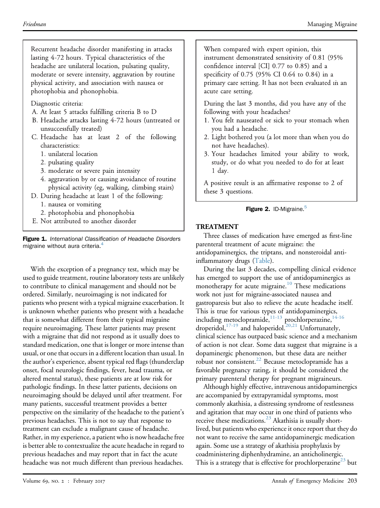<span id="page-1-0"></span>Recurrent headache disorder manifesting in attacks lasting 4-72 hours. Typical characteristics of the headache are unilateral location, pulsating quality, moderate or severe intensity, aggravation by routine physical activity, and association with nausea or photophobia and phonophobia.

Diagnostic criteria:

- A. At least 5 attacks fulfilling criteria B to D
- B. Headache attacks lasting 4-72 hours (untreated or unsuccessfully treated)
- C. Headache has at least 2 of the following characteristics:
	- 1. unilateral location
	- 2. pulsating quality
	- 3. moderate or severe pain intensity
	- 4. aggravation by or causing avoidance of routine physical activity (eg, walking, climbing stairs)
- D. During headache at least 1 of the following:
	- 1. nausea or vomiting
	- 2. photophobia and phonophobia
- E. Not attributed to another disorder

Figure 1. International Classification of Headache Disorders migraine without aura criteria.<sup>[4](#page-4-3)</sup>

With the exception of a pregnancy test, which may be used to guide treatment, routine laboratory tests are unlikely to contribute to clinical management and should not be ordered. Similarly, neuroimaging is not indicated for patients who present with a typical migraine exacerbation. It is unknown whether patients who present with a headache that is somewhat different from their typical migraine require neuroimaging. These latter patients may present with a migraine that did not respond as it usually does to standard medication, one that is longer or more intense than usual, or one that occurs in a different location than usual. In the author's experience, absent typical red flags (thunderclap onset, focal neurologic findings, fever, head trauma, or altered mental status), these patients are at low risk for pathologic findings. In these latter patients, decisions on neuroimaging should be delayed until after treatment. For many patients, successful treatment provides a better perspective on the similarity of the headache to the patient's previous headaches. This is not to say that response to treatment can exclude a malignant cause of headache. Rather, in my experience, a patient who is now headache free is better able to contextualize the acute headache in regard to previous headaches and may report that in fact the acute headache was not much different than previous headaches.

<span id="page-1-1"></span>When compared with expert opinion, this instrument demonstrated sensitivity of 0.81 (95%) confidence interval [CI] 0.77 to 0.85) and a specificity of 0.75 (95% CI 0.64 to 0.84) in a primary care setting. It has not been evaluated in an acute care setting.

During the last 3 months, did you have any of the following with your headaches?

- 1. You felt nauseated or sick to your stomach when you had a headache.
- 2. Light bothered you (a lot more than when you do not have headaches).
- 3. Your headaches limited your ability to work, study, or do what you needed to do for at least 1 day.

A positive result is an affirmative response to 2 of these 3 questions.

# Figure 2. ID-Migraine.<sup>[5](#page-4-4)</sup>

# TREATMENT

Three classes of medication have emerged as first-line parenteral treatment of acute migraine: the antidopaminergics, the triptans, and nonsteroidal antiinflammatory drugs ([Table\)](#page-2-0).

During the last 3 decades, compelling clinical evidence has emerged to support the use of antidopaminergics as monotherapy for acute migraine.<sup>[10](#page-4-7)</sup> These medications work not just for migraine-associated nausea and gastroparesis but also to relieve the acute headache itself. This is true for various types of antidopaminergics, including metoclopramide, $11-13$  prochlorperazine, $14-16$ droperidol,  $17-19$  and haloperidol.<sup>[20,21](#page-4-11)</sup> Unfortunately, clinical science has outpaced basic science and a mechanism of action is not clear. Some data suggest that migraine is a dopaminergic phenomenon, but these data are neither robust nor consistent.<sup>22</sup> Because metoclopramide has a favorable pregnancy rating, it should be considered the primary parenteral therapy for pregnant migraineurs.

Although highly effective, intravenous antidopaminergics are accompanied by extrapyramidal symptoms, most commonly akathisia, a distressing syndrome of restlessness and agitation that may occur in one third of patients who receive these medications. $^{23}$  Akathisia is usually shortlived, but patients who experience it once report that they do not want to receive the same antidopaminergic medication again. Some use a strategy of akathisia prophylaxis by coadministering diphenhydramine, an anticholinergic. This is a strategy that is effective for prochlorperazine<sup>[23](#page-4-13)</sup> but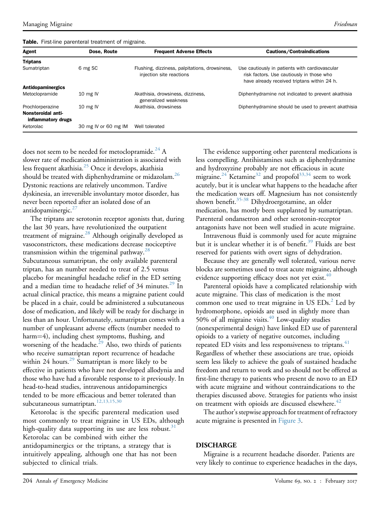<span id="page-2-0"></span>

| Agent                                    | Dose, Route          | <b>Frequent Adverse Effects</b>                                            | Cautions/Contraindications                                                                                                                 |
|------------------------------------------|----------------------|----------------------------------------------------------------------------|--------------------------------------------------------------------------------------------------------------------------------------------|
| <b>Triptans</b>                          |                      |                                                                            |                                                                                                                                            |
| Sumatriptan                              | 6 mg SC              | Flushing, dizziness, palpitations, drowsiness,<br>injection site reactions | Use cautiously in patients with cardiovascular<br>risk factors. Use cautiously in those who<br>have already received triptans within 24 h. |
| Antidopaminergics                        |                      |                                                                            |                                                                                                                                            |
| Metoclopramide                           | 10 mg $IV$           | Akathisia, drowsiness, dizziness,<br>generalized weakness                  | Diphenhydramine not indicated to prevent akathisia                                                                                         |
| Prochlorperazine                         | $10 \text{ mg}$ IV   | Akathisia, drowsiness                                                      | Diphenhydramine should be used to prevent akathisia                                                                                        |
| Nonsteroidal anti-<br>inflammatory drugs |                      |                                                                            |                                                                                                                                            |
| Ketorolac                                | 30 mg IV or 60 mg IM | Well tolerated                                                             |                                                                                                                                            |

does not seem to be needed for metoclopramide.<sup>[24](#page-4-14)</sup> A slower rate of medication administration is associated with less frequent akathisia. $^{25}$  $^{25}$  $^{25}$  Once it develops, akathisia should be treated with diphenhydramine or midazolam.<sup>26</sup> Dystonic reactions are relatively uncommon. Tardive dyskinesia, an irreversible involuntary motor disorder, has never been reported after an isolated dose of an antidopaminergic. $27$ 

The triptans are serotonin receptor agonists that, during the last 30 years, have revolutionized the outpatient treatment of migraine.[28](#page-4-18) Although originally developed as vasoconstrictors, these medications decrease nociceptive transmission within the trigeminal pathway.<sup>[28](#page-4-18)</sup> Subcutaneous sumatriptan, the only available parenteral triptan, has an number needed to treat of 2.5 versus placebo for meaningful headache relief in the ED setting and a median time to headache relief of 34 minutes.<sup>[29](#page-4-19)</sup> In actual clinical practice, this means a migraine patient could be placed in a chair, could be administered a subcutaneous dose of medication, and likely will be ready for discharge in less than an hour. Unfortunately, sumatriptan comes with a number of unpleasant adverse effects (number needed to harm=4), including chest symptoms, flushing, and worsening of the headache.<sup>[29](#page-4-19)</sup> Also, two thirds of patients who receive sumatriptan report recurrence of headache within 24 hours.<sup>[29](#page-4-19)</sup> Sumatriptan is more likely to be effective in patients who have not developed allodynia and those who have had a favorable response to it previously. In head-to-head studies, intravenous antidopaminergics tended to be more efficacious and better tolerated than subcutaneous sumatriptan.<sup>12,13,15,30</sup>

Ketorolac is the specific parenteral medication used most commonly to treat migraine in US EDs, although high-quality data supporting its use are less robust.<sup>[31](#page-5-0)</sup> Ketorolac can be combined with either the antidopaminergics or the triptans, a strategy that is intuitively appealing, although one that has not been subjected to clinical trials.

The evidence supporting other parenteral medications is less compelling. Antihistamines such as diphenhydramine and hydroxyzine probably are not efficacious in acute migraine.<sup>[24](#page-4-14)</sup> Ketamine<sup>32</sup> and propofol<sup>[33,34](#page-5-2)</sup> seem to work acutely, but it is unclear what happens to the headache after the medication wears off. Magnesium has not consistently shown benefit. $35-38$  Dihydroergotamine, an older medication, has mostly been supplanted by sumatriptan. Parenteral ondansetron and other serotonin-receptor antagonists have not been well studied in acute migraine.

Intravenous fluid is commonly used for acute migraine but it is unclear whether it is of benefit.<sup>[39](#page-5-4)</sup> Fluids are best reserved for patients with overt signs of dehydration.

Because they are generally well tolerated, various nerve blocks are sometimes used to treat acute migraine, although evidence supporting efficacy does not yet exist.<sup>[40](#page-5-5)</sup>

Parenteral opioids have a complicated relationship with acute migraine. This class of medication is the most common one used to treat migraine in US  $EDs<sup>2</sup>$  Led by hydromorphone, opioids are used in slightly more than 50% of all migraine visits.<sup>[40](#page-5-5)</sup> Low-quality studies (nonexperimental design) have linked ED use of parenteral opioids to a variety of negative outcomes, including repeated ED visits and less responsiveness to triptans.<sup>[41](#page-5-6)</sup> Regardless of whether these associations are true, opioids seem less likely to achieve the goals of sustained headache freedom and return to work and so should not be offered as first-line therapy to patients who present de novo to an ED with acute migraine and without contraindications to the therapies discussed above. Strategies for patients who insist on treatment with opioids are discussed elsewhere. $42$ 

The author's stepwise approach for treatment of refractory acute migraine is presented in [Figure 3.](#page-3-0)

## DISCHARGE

Migraine is a recurrent headache disorder. Patients are very likely to continue to experience headaches in the days,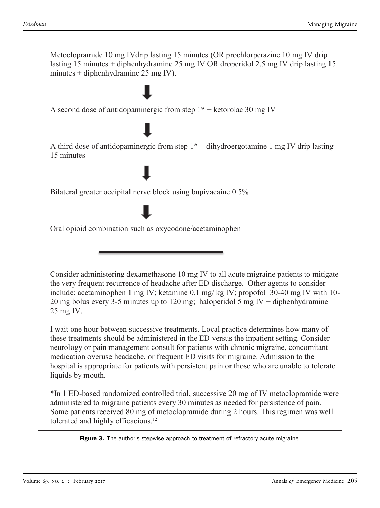<span id="page-3-0"></span>

**Figure 3.** The author's stepwise approach to treatment of refractory acute migraine.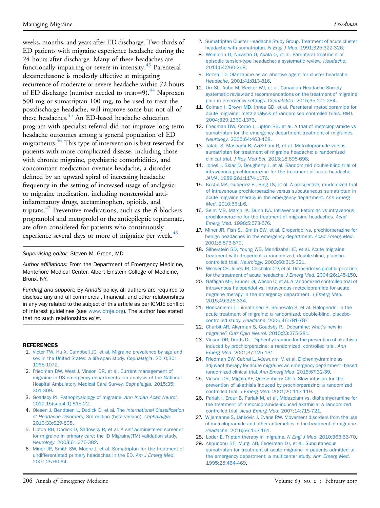weeks, months, and years after ED discharge. Two thirds of ED patients with migraine experience headache during the 24 hours after discharge. Many of these headaches are functionally impairing or severe in intensity.<sup>[43](#page-5-8)</sup> Parenteral dexamethasone is modestly effective at mitigating recurrence of moderate or severe headache within 72 hours of ED discharge (number needed to treat=9).<sup>44</sup> Naproxen 500 mg or sumatriptan 100 mg, to be used to treat the postdischarge headache, will improve some but not all of these headaches.<sup>45</sup> An ED-based headache education program with specialist referral did not improve long-term headache outcomes among a general population of ED migraineurs.<sup>[46](#page-5-11)</sup> This type of intervention is best reserved for patients with more complicated disease, including those with chronic migraine, psychiatric comorbidities, and concomitant medication overuse headache, a disorder defined by an upward spiral of increasing headache frequency in the setting of increased usage of analgesic or migraine medication, including nonsteroidal antiinflammatory drugs, acetaminophen, opioids, and triptans.<sup>[47](#page-5-12)</sup> Preventive medications, such as the  $\beta$ -blockers propranolol and metoprolol or the antiepileptic topiramate, are often considered for patients who continuously experience several days or more of migraine per week.<sup>[48](#page-5-13)</sup>

#### Supervising editor: Steven M. Green, MD

Author affiliations: From the Department of Emergency Medicine, Montefiore Medical Center, Albert Einstein College of Medicine, Bronx, NY.

Funding and support: By Annals policy, all authors are required to disclose any and all commercial, financial, and other relationships in any way related to the subject of this article as per ICMJE conflict of interest guidelines (see [www.icmje.org](http://www.icmje.org/)). The author has stated that no such relationships exist.

#### <span id="page-4-0"></span>REFERENCES

- 1. [Victor TW, Hu X, Campbell JC, et al. Migraine prevalence by age and](http://refhub.elsevier.com/S0196-0644(16)30301-8/sref1) [sex in the United States: a life-span study.](http://refhub.elsevier.com/S0196-0644(16)30301-8/sref1) Cephalalgia. 2010;30: [1065-1072.](http://refhub.elsevier.com/S0196-0644(16)30301-8/sref1)
- <span id="page-4-1"></span>2. [Friedman BW, West J, Vinson DR, et al. Current management of](http://refhub.elsevier.com/S0196-0644(16)30301-8/sref2) [migraine in US emergency departments: an analysis of the National](http://refhub.elsevier.com/S0196-0644(16)30301-8/sref2) [Hospital Ambulatory Medical Care Survey.](http://refhub.elsevier.com/S0196-0644(16)30301-8/sref2) Cephalalgia. 2015;35: [301-309.](http://refhub.elsevier.com/S0196-0644(16)30301-8/sref2)
- <span id="page-4-3"></span><span id="page-4-2"></span>3. [Goadsby PJ. Pathophysiology of migraine.](http://refhub.elsevier.com/S0196-0644(16)30301-8/sref3) Ann Indian Acad Neurol. [2012;15\(suppl 1\):S15-22.](http://refhub.elsevier.com/S0196-0644(16)30301-8/sref3)
- 4. [Olesen J, Bendtsen L, Dodick D, et al. The](http://refhub.elsevier.com/S0196-0644(16)30301-8/sref4) International Classification of Headache Disorders[, 3rd edition \(beta version\).](http://refhub.elsevier.com/S0196-0644(16)30301-8/sref4) Cephalalgia. [2013;33:629-808.](http://refhub.elsevier.com/S0196-0644(16)30301-8/sref4)
- <span id="page-4-4"></span>5. [Lipton RB, Dodick D, Sadovsky R, et al. A self-administered screener](http://refhub.elsevier.com/S0196-0644(16)30301-8/sref5) [for migraine in primary care: the ID Migraine\(TM\) validation study.](http://refhub.elsevier.com/S0196-0644(16)30301-8/sref5) Neurology[. 2003;61:375-382](http://refhub.elsevier.com/S0196-0644(16)30301-8/sref5).
- <span id="page-4-5"></span>6. [Miner JR, Smith SW, Moore J, et al. Sumatriptan for the treatment of](http://refhub.elsevier.com/S0196-0644(16)30301-8/sref6) [undifferentiated primary headaches in the ED.](http://refhub.elsevier.com/S0196-0644(16)30301-8/sref6) Am J Emerg Med. [2007;25:60-64](http://refhub.elsevier.com/S0196-0644(16)30301-8/sref6).
- 7. [Sumatriptan Cluster Headache Study Group. Treatment of acute cluster](http://refhub.elsevier.com/S0196-0644(16)30301-8/sref7) [headache with sumatriptan.](http://refhub.elsevier.com/S0196-0644(16)30301-8/sref7) N Engl J Med. 1991;325:322-326.
- <span id="page-4-6"></span>8. [Weinman D, Nicastro O, Akala O, et al. Parenteral treatment of](http://refhub.elsevier.com/S0196-0644(16)30301-8/sref8) [episodic tension-type headache: a systematic review.](http://refhub.elsevier.com/S0196-0644(16)30301-8/sref8) Headache. [2014;54:260-268](http://refhub.elsevier.com/S0196-0644(16)30301-8/sref8).
- 9. [Rozen TD. Olanzapine as an abortive agent for cluster headache.](http://refhub.elsevier.com/S0196-0644(16)30301-8/sref9) Headache[. 2001;41:813-816.](http://refhub.elsevier.com/S0196-0644(16)30301-8/sref9)
- <span id="page-4-7"></span>10. [Orr SL, Aube M, Becker WJ, et al. Canadian Headache Society](http://refhub.elsevier.com/S0196-0644(16)30301-8/sref10) [systematic review and recommendations on the treatment of migraine](http://refhub.elsevier.com/S0196-0644(16)30301-8/sref10) [pain in emergency settings.](http://refhub.elsevier.com/S0196-0644(16)30301-8/sref10) Cephalalgia. 2015;35:271-284.
- <span id="page-4-8"></span>11. [Colman I, Brown MD, Innes GD, et al. Parenteral metoclopramide for](http://refhub.elsevier.com/S0196-0644(16)30301-8/sref11) [acute migraine: meta-analysis of randomised controlled trials.](http://refhub.elsevier.com/S0196-0644(16)30301-8/sref11) BMJ. [2004;329:1369-1373](http://refhub.elsevier.com/S0196-0644(16)30301-8/sref11).
- <span id="page-4-20"></span>12. [Friedman BW, Corbo J, Lipton RB, et al. A trial of metoclopramide vs](http://refhub.elsevier.com/S0196-0644(16)30301-8/sref12) [sumatriptan for the emergency department treatment of migraines.](http://refhub.elsevier.com/S0196-0644(16)30301-8/sref12) Neurology[. 2005;64:463-468.](http://refhub.elsevier.com/S0196-0644(16)30301-8/sref12)
- 13. [Talabi S, Masoumi B, Azizkhani R, et al. Metoclopramide versus](http://refhub.elsevier.com/S0196-0644(16)30301-8/sref13) [sumatriptan for treatment of migraine headache: a randomized](http://refhub.elsevier.com/S0196-0644(16)30301-8/sref13) clinical trial. J Res Med Sci[. 2013;18:695-698](http://refhub.elsevier.com/S0196-0644(16)30301-8/sref13).
- <span id="page-4-9"></span>14. [Jones J, Sklar D, Dougherty J, et al. Randomized double-blind trial of](http://refhub.elsevier.com/S0196-0644(16)30301-8/sref14) [intravenous prochlorperazine for the treatment of acute headache.](http://refhub.elsevier.com/S0196-0644(16)30301-8/sref14) JAMA[. 1989;261:1174-1176](http://refhub.elsevier.com/S0196-0644(16)30301-8/sref14).
- 15. [Kostic MA, Gutierrez FJ, Rieg TS, et al. A prospective, randomized trial](http://refhub.elsevier.com/S0196-0644(16)30301-8/sref15) [of intravenous prochlorperazine versus subcutaneous sumatriptan in](http://refhub.elsevier.com/S0196-0644(16)30301-8/sref15) [acute migraine therapy in the emergency department.](http://refhub.elsevier.com/S0196-0644(16)30301-8/sref15) Ann Emerg Med[. 2010;56:1-6](http://refhub.elsevier.com/S0196-0644(16)30301-8/sref15).
- 16. [Seim MB, March JA, Dunn KA. Intravenous ketorolac vs intravenous](http://refhub.elsevier.com/S0196-0644(16)30301-8/sref16) [prochlorperazine for the treatment of migraine headaches.](http://refhub.elsevier.com/S0196-0644(16)30301-8/sref16) Acad Emerg Med[. 1998;5:573-576.](http://refhub.elsevier.com/S0196-0644(16)30301-8/sref16)
- <span id="page-4-10"></span>17. [Miner JR, Fish SJ, Smith SW, et al. Droperidol vs. prochlorperazine for](http://refhub.elsevier.com/S0196-0644(16)30301-8/sref17) [benign headaches in the emergency department.](http://refhub.elsevier.com/S0196-0644(16)30301-8/sref17) Acad Emerg Med. [2001;8:873-879](http://refhub.elsevier.com/S0196-0644(16)30301-8/sref17).
- 18. [Silberstein SD, Young WB, Mendizabal JE, et al. Acute migraine](http://refhub.elsevier.com/S0196-0644(16)30301-8/sref18) [treatment with droperidol: a randomized, double-blind, placebo](http://refhub.elsevier.com/S0196-0644(16)30301-8/sref18)controlled trial. Neurology[. 2003;60:315-321.](http://refhub.elsevier.com/S0196-0644(16)30301-8/sref18)
- 19. [Weaver CS, Jones JB, Chisholm CD, et al. Droperidol vs prochlorperazine](http://refhub.elsevier.com/S0196-0644(16)30301-8/sref19) [for the treatment of acute headache.](http://refhub.elsevier.com/S0196-0644(16)30301-8/sref19) J Emerg Med. 2004;26:145-150.
- <span id="page-4-11"></span>20. Gaffi[gan ME, Bruner DI, Wason C, et al. A randomized controlled trial of](http://refhub.elsevier.com/S0196-0644(16)30301-8/sref20) [intravenous haloperidol vs. intravenous metoclopramide for acute](http://refhub.elsevier.com/S0196-0644(16)30301-8/sref20) [migraine therapy in the emergency department.](http://refhub.elsevier.com/S0196-0644(16)30301-8/sref20) J Emerg Med. [2015;49:326-334](http://refhub.elsevier.com/S0196-0644(16)30301-8/sref20).
- 21. [Honkaniemi J, Liimatainen S, Rainesalo S, et al. Haloperidol in the](http://refhub.elsevier.com/S0196-0644(16)30301-8/sref21) [acute treatment of migraine: a randomized, double-blind, placebo](http://refhub.elsevier.com/S0196-0644(16)30301-8/sref21)controlled study. Headache[. 2006;46:781-787.](http://refhub.elsevier.com/S0196-0644(16)30301-8/sref21)
- <span id="page-4-12"></span>22. [Charbit AR, Akerman S, Goadsby PJ. Dopamine: what](http://refhub.elsevier.com/S0196-0644(16)30301-8/sref22)'s new in migraine? Curr Opin Neurol[. 2010;23:275-281.](http://refhub.elsevier.com/S0196-0644(16)30301-8/sref22)
- <span id="page-4-13"></span>23. [Vinson DR, Drotts DL. Diphenhydramine for the prevention of akathisia](http://refhub.elsevier.com/S0196-0644(16)30301-8/sref23) [induced by prochlorperazine: a randomized, controlled trial.](http://refhub.elsevier.com/S0196-0644(16)30301-8/sref23) Ann Emerg Med[. 2001;37:125-131.](http://refhub.elsevier.com/S0196-0644(16)30301-8/sref23)
- <span id="page-4-14"></span>24. [Friedman BW, Cabral L, Adewunmi V, et al. Diphenhydramine as](http://refhub.elsevier.com/S0196-0644(16)30301-8/sref24) [adjuvant therapy for acute migraine: an emergency department](http://refhub.elsevier.com/S0196-0644(16)30301-8/sref24)–[based](http://refhub.elsevier.com/S0196-0644(16)30301-8/sref24) [randomized clinical trial.](http://refhub.elsevier.com/S0196-0644(16)30301-8/sref24) Ann Emerg Med. 2016;67:32-39.
- <span id="page-4-15"></span>25. [Vinson DR, Migala AF, Quesenberry CP Jr. Slow infusion for the](http://refhub.elsevier.com/S0196-0644(16)30301-8/sref25) [prevention of akathisia induced by prochlorperazine: a randomized](http://refhub.elsevier.com/S0196-0644(16)30301-8/sref25) controlled trial. J Emerg Med[. 2001;20:113-119](http://refhub.elsevier.com/S0196-0644(16)30301-8/sref25).
- <span id="page-4-16"></span>26. [Parlak I, Erdur B, Parlak M, et al. Midazolam vs. diphenhydramine for](http://refhub.elsevier.com/S0196-0644(16)30301-8/sref26) [the treatment of metoclopramide-induced akathisia: a randomized](http://refhub.elsevier.com/S0196-0644(16)30301-8/sref26) controlled trial. Acad Emerg Med[. 2007;14:715-721.](http://refhub.elsevier.com/S0196-0644(16)30301-8/sref26)
- <span id="page-4-17"></span>27. [Wijemanne S, Jankovic J, Evans RW. Movement disorders from the use](http://refhub.elsevier.com/S0196-0644(16)30301-8/sref27) [of metoclopramide and other antiemetics in the treatment of migraine.](http://refhub.elsevier.com/S0196-0644(16)30301-8/sref27) Headache[. 2016;56:153-161](http://refhub.elsevier.com/S0196-0644(16)30301-8/sref27).
- <span id="page-4-18"></span>28. [Loder E. Triptan therapy in migraine.](http://refhub.elsevier.com/S0196-0644(16)30301-8/sref28) N Engl J Med. 2010;363:63-70.
- <span id="page-4-19"></span>29. [Akpunonu BE, Mutgi AB, Federman DJ, et al. Subcutaneous](http://refhub.elsevier.com/S0196-0644(16)30301-8/sref29) [sumatriptan for treatment of acute migraine in patients admitted to](http://refhub.elsevier.com/S0196-0644(16)30301-8/sref29) [the emergency department: a multicenter study.](http://refhub.elsevier.com/S0196-0644(16)30301-8/sref29) Ann Emerg Med. [1995;25:464-469.](http://refhub.elsevier.com/S0196-0644(16)30301-8/sref29)